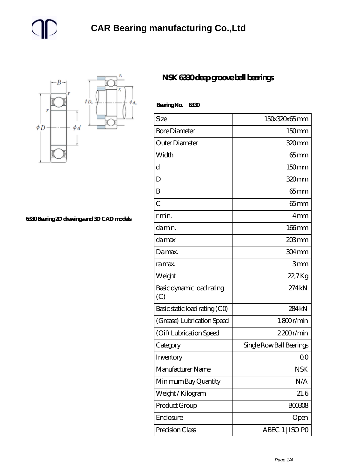

**[6330 Bearing 2D drawings and 3D CAD models](https://m.gmgyb.com/pic-48020.html)**

## **[NSK 6330 deep groove ball bearings](https://m.gmgyb.com/af-48020-nsk-6330-deep-groove-ball-bearings.html)**

| Bearing No.<br>6330              |                          |
|----------------------------------|--------------------------|
| Size                             | 150x320x65mm             |
| <b>Bore Diameter</b>             | 150mm                    |
| Outer Diameter                   | 320mm                    |
| Width                            | $65 \text{mm}$           |
| d                                | 150mm                    |
| D                                | 320mm                    |
| B                                | $65$ mm                  |
| $\overline{C}$                   | $65$ mm                  |
| r min.                           | 4 <sub>mm</sub>          |
| da min.                          | 166mm                    |
| damax                            | 203mm                    |
| Damax.                           | 304mm                    |
| ra max.                          | 3mm                      |
| Weight                           | 22,7Kg                   |
| Basic dynamic load rating<br>(C) | 274 kN                   |
| Basic static load rating (CO)    | 284 <sub>kN</sub>        |
| (Grease) Lubrication Speed       | 1800r/min                |
| (Oil) Lubrication Speed          | 2200r/min                |
| Category                         | Single Row Ball Bearings |
| Inventory                        | 0 <sub>0</sub>           |
| Manufacturer Name                | <b>NSK</b>               |
| Minimum Buy Quantity             | N/A                      |
| Weight/Kilogram                  | 21.6                     |
| Product Group                    | <b>BOO308</b>            |
| Enclosure                        | Open                     |
| Precision Class                  | ABEC 1   ISO PO          |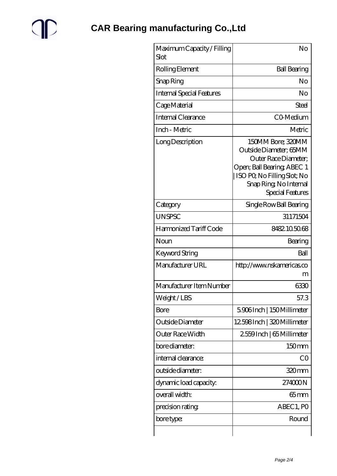

| Maximum Capacity / Filling<br>Slot | No                                                                                                                                                                            |
|------------------------------------|-------------------------------------------------------------------------------------------------------------------------------------------------------------------------------|
| Rolling Element                    | <b>Ball Bearing</b>                                                                                                                                                           |
| Snap Ring                          | No                                                                                                                                                                            |
| <b>Internal Special Features</b>   | No                                                                                                                                                                            |
| Cage Material                      | Steel                                                                                                                                                                         |
| <b>Internal Clearance</b>          | CO-Medium                                                                                                                                                                     |
| Inch - Metric                      | Metric                                                                                                                                                                        |
| Long Description                   | 150MM Bore; 320MM<br>Outside Diameter; 65MM<br>Outer Race Diameter:<br>Open; Ball Bearing; ABEC 1<br>ISO PQ No Filling Slot; No<br>Snap Ring, No Internal<br>Special Features |
| Category                           | Single Row Ball Bearing                                                                                                                                                       |
| <b>UNSPSC</b>                      | 31171504                                                                                                                                                                      |
| Harmonized Tariff Code             | 8482105068                                                                                                                                                                    |
| Noun                               | Bearing                                                                                                                                                                       |
| Keyword String                     | Ball                                                                                                                                                                          |
| Manufacturer URL                   | http://www.nskamericas.co<br>m                                                                                                                                                |
| Manufacturer Item Number           | 6330                                                                                                                                                                          |
| Weight / LBS                       | 57.3                                                                                                                                                                          |
| Bore                               | 5906Inch   150Millimeter                                                                                                                                                      |
| Outside Diameter                   | 12598Inch   320 Millimeter                                                                                                                                                    |
| Outer Race Width                   | 2559Inch   65 Millimeter                                                                                                                                                      |
| bore diameter:                     | 150mm                                                                                                                                                                         |
| internal clearance:                | CO                                                                                                                                                                            |
| outside diameter:                  | 320mm                                                                                                                                                                         |
| dynamic load capacity:             | 274000N                                                                                                                                                                       |
| overall width:                     | 65mm                                                                                                                                                                          |
| precision rating                   | ABEC 1, PO                                                                                                                                                                    |
| bore type:                         | Round                                                                                                                                                                         |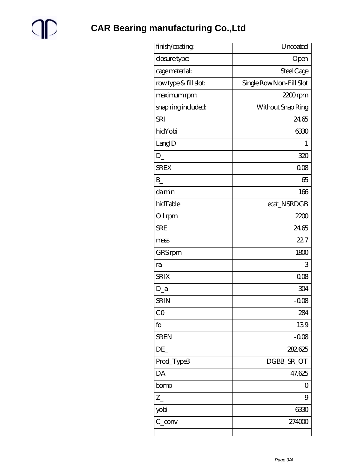

**CAR Bearing manufacturing Co., Ltd** 

| Open<br>Steel Cage<br>Single Row Non-Fill Slot<br>$2200$ rpm<br>Without Snap Ring<br>2465<br>6330<br>$\mathbf{1}$ |
|-------------------------------------------------------------------------------------------------------------------|
|                                                                                                                   |
|                                                                                                                   |
|                                                                                                                   |
|                                                                                                                   |
|                                                                                                                   |
|                                                                                                                   |
|                                                                                                                   |
|                                                                                                                   |
| 320                                                                                                               |
| 008                                                                                                               |
| 65                                                                                                                |
| 166                                                                                                               |
| ecat_NSRDGB                                                                                                       |
| 2200                                                                                                              |
| 24.65                                                                                                             |
| 22.7                                                                                                              |
| 1800                                                                                                              |
| 3                                                                                                                 |
| 008                                                                                                               |
| 304                                                                                                               |
| $-0.08$                                                                                                           |
| 284                                                                                                               |
| 139                                                                                                               |
| $-0.08$                                                                                                           |
| 282.625                                                                                                           |
| DGBB_SR_OT                                                                                                        |
| 47.625                                                                                                            |
| 0                                                                                                                 |
| 9                                                                                                                 |
| 6330                                                                                                              |
| 274000                                                                                                            |
|                                                                                                                   |